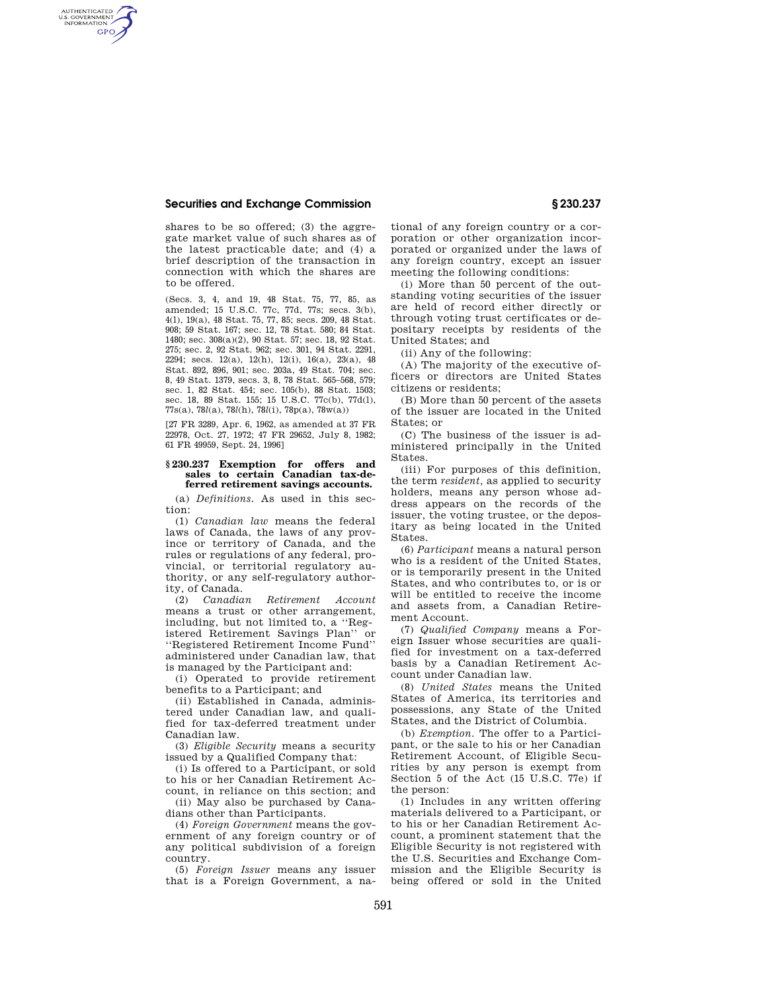## **Securities and Exchange Commission § 230.237**

AUTHENTICATED<br>U.S. GOVERNMENT<br>INFORMATION **GPO** 

> shares to be so offered; (3) the aggregate market value of such shares as of the latest practicable date; and (4) a brief description of the transaction in connection with which the shares are to be offered.

> (Secs. 3, 4, and 19, 48 Stat. 75, 77, 85, as amended; 15 U.S.C. 77c, 77d, 77s; secs. 3(b), 4(l), 19(a), 48 Stat. 75, 77, 85; secs. 209, 48 Stat. 908; 59 Stat. 167; sec. 12, 78 Stat. 580; 84 Stat. 1480; sec. 308(a)(2), 90 Stat. 57; sec. 18, 92 Stat. 275; sec. 2, 92 Stat. 962; sec. 301, 94 Stat. 2291, 2294; secs. 12(a), 12(h), 12(i), 16(a), 23(a), 48 Stat. 892, 896, 901; sec. 203a, 49 Stat. 704; sec. 8, 49 Stat. 1379, secs. 3, 8, 78 Stat. 565–568, 579; sec. 1, 82 Stat. 454; sec. 105(b), 88 Stat. 1503; sec. 18, 89 Stat. 155; 15 U.S.C. 77c(b), 77d(l), 77s(a), 78*l*(a), 78*l*(h), 78*l*(i), 78p(a), 78w(a))

[27 FR 3289, Apr. 6, 1962, as amended at 37 FR 22978, Oct. 27, 1972; 47 FR 29652, July 8, 1982; 61 FR 49959, Sept. 24, 1996]

## **§ 230.237 Exemption for offers and**  sales to certain Canadian tax-de**ferred retirement savings accounts.**

(a) *Definitions.* As used in this section:

(1) *Canadian law* means the federal laws of Canada, the laws of any province or territory of Canada, and the rules or regulations of any federal, provincial, or territorial regulatory authority, or any self-regulatory authority, of Canada.

(2) *Canadian Retirement Account*  means a trust or other arrangement, including, but not limited to, a ''Registered Retirement Savings Plan'' or ''Registered Retirement Income Fund'' administered under Canadian law, that is managed by the Participant and:

(i) Operated to provide retirement benefits to a Participant; and

(ii) Established in Canada, administered under Canadian law, and qualified for tax-deferred treatment under Canadian law.

(3) *Eligible Security* means a security issued by a Qualified Company that:

(i) Is offered to a Participant, or sold to his or her Canadian Retirement Account, in reliance on this section; and

(ii) May also be purchased by Canadians other than Participants.

(4) *Foreign Government* means the government of any foreign country or of any political subdivision of a foreign country.

(5) *Foreign Issuer* means any issuer that is a Foreign Government, a na-

tional of any foreign country or a corporation or other organization incorporated or organized under the laws of any foreign country, except an issuer meeting the following conditions:

(i) More than 50 percent of the outstanding voting securities of the issuer are held of record either directly or through voting trust certificates or depositary receipts by residents of the United States; and

(ii) Any of the following:

(A) The majority of the executive officers or directors are United States citizens or residents;

(B) More than 50 percent of the assets of the issuer are located in the United States; or

(C) The business of the issuer is administered principally in the United States.

(iii) For purposes of this definition, the term *resident,* as applied to security holders, means any person whose address appears on the records of the issuer, the voting trustee, or the depositary as being located in the United States.

(6) *Participant* means a natural person who is a resident of the United States, or is temporarily present in the United States, and who contributes to, or is or will be entitled to receive the income and assets from, a Canadian Retirement Account.

(7) *Qualified Company* means a Foreign Issuer whose securities are qualified for investment on a tax-deferred basis by a Canadian Retirement Account under Canadian law.

(8) *United States* means the United States of America, its territories and possessions, any State of the United States, and the District of Columbia.

(b) *Exemption.* The offer to a Participant, or the sale to his or her Canadian Retirement Account, of Eligible Securities by any person is exempt from Section 5 of the Act (15 U.S.C. 77e) if the person:

(1) Includes in any written offering materials delivered to a Participant, or to his or her Canadian Retirement Account, a prominent statement that the Eligible Security is not registered with the U.S. Securities and Exchange Commission and the Eligible Security is being offered or sold in the United